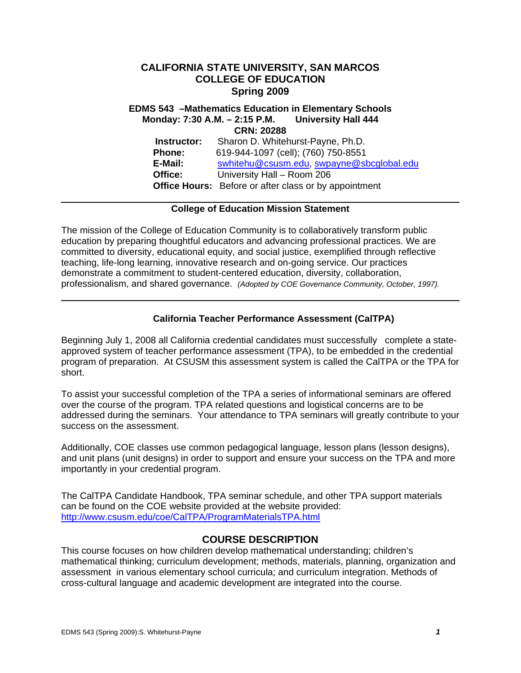## **CALIFORNIA STATE UNIVERSITY, SAN MARCOS COLLEGE OF EDUCATION Spring 2009**

 **E-Mail:** swhitehu@csusm.edu, swpayne@sbcglobal.edu Office:  **Office Hours:** Before or after class or by appointment **EDMS 543 –Mathematics Education in Elementary Schools Monday: 7:30 A.M. – 2:15 P.M. University Hall 444 CRN: 20288 Instructor:** Sharon D. Whitehurst-Payne, Ph.D. **Phone:** 619-944-1097 (cell); (760) 750-8551 **Office:** University Hall – Room 206

## **College of Education Mission Statement**

The mission of the College of Education Community is to collaboratively transform public education by preparing thoughtful educators and advancing professional practices. We are committed to diversity, educational equity, and social justice, exemplified through reflective teaching, life-long learning, innovative research and on-going service. Our practices demonstrate a commitment to student-centered education, diversity, collaboration, professionalism, and shared governance. *(Adopted by COE Governance Community, October, 1997).* 

## **California Teacher Performance Assessment (CalTPA)**

Beginning July 1, 2008 all California credential candidates must successfully complete a stateapproved system of teacher performance assessment (TPA), to be embedded in the credential program of preparation. At CSUSM this assessment system is called the CalTPA or the TPA for short.

To assist your successful completion of the TPA a series of informational seminars are offered over the course of the program. TPA related questions and logistical concerns are to be addressed during the seminars. Your attendance to TPA seminars will greatly contribute to your success on the assessment.

Additionally, COE classes use common pedagogical language, lesson plans (lesson designs), and unit plans (unit designs) in order to support and ensure your success on the TPA and more importantly in your credential program.

The CalTPA Candidate Handbook, TPA seminar schedule, and other TPA support materials can be found on the COE website provided at the website provided: http://www.csusm.edu/coe/CalTPA/ProgramMaterialsTPA.html

## **COURSE DESCRIPTION**

This course focuses on how children develop mathematical understanding; children's mathematical thinking; curriculum development; methods, materials, planning, organization and assessment in various elementary school curricula; and curriculum integration. Methods of cross-cultural language and academic development are integrated into the course.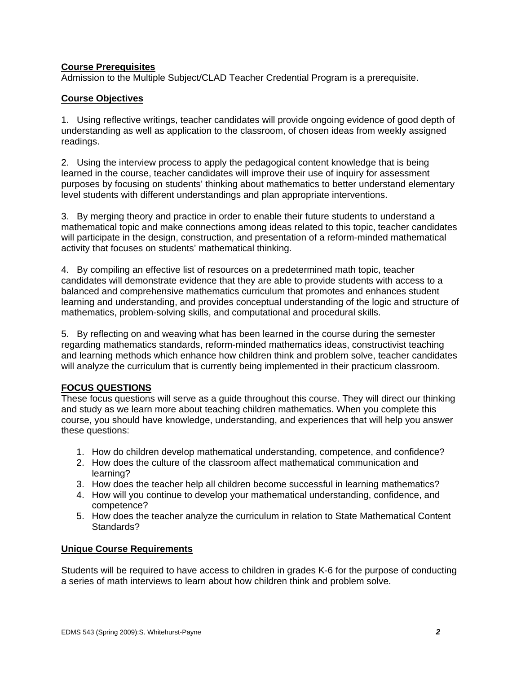## **Course Prerequisites**

Admission to the Multiple Subject/CLAD Teacher Credential Program is a prerequisite.

## **Course Objectives**

1. Using reflective writings, teacher candidates will provide ongoing evidence of good depth of understanding as well as application to the classroom, of chosen ideas from weekly assigned readings.

2. Using the interview process to apply the pedagogical content knowledge that is being learned in the course, teacher candidates will improve their use of inquiry for assessment purposes by focusing on students' thinking about mathematics to better understand elementary level students with different understandings and plan appropriate interventions.

3. By merging theory and practice in order to enable their future students to understand a mathematical topic and make connections among ideas related to this topic, teacher candidates will participate in the design, construction, and presentation of a reform-minded mathematical activity that focuses on students' mathematical thinking.

4. By compiling an effective list of resources on a predetermined math topic, teacher candidates will demonstrate evidence that they are able to provide students with access to a balanced and comprehensive mathematics curriculum that promotes and enhances student learning and understanding, and provides conceptual understanding of the logic and structure of mathematics, problem-solving skills, and computational and procedural skills.

5. By reflecting on and weaving what has been learned in the course during the semester regarding mathematics standards, reform-minded mathematics ideas, constructivist teaching and learning methods which enhance how children think and problem solve, teacher candidates will analyze the curriculum that is currently being implemented in their practicum classroom.

## **FOCUS QUESTIONS**

These focus questions will serve as a guide throughout this course. They will direct our thinking and study as we learn more about teaching children mathematics. When you complete this course, you should have knowledge, understanding, and experiences that will help you answer these questions:

- 1. How do children develop mathematical understanding, competence, and confidence?
- 2. How does the culture of the classroom affect mathematical communication and learning?
- 3. How does the teacher help all children become successful in learning mathematics?
- 4. How will you continue to develop your mathematical understanding, confidence, and competence?
- 5. How does the teacher analyze the curriculum in relation to State Mathematical Content Standards?

## **Unique Course Requirements**

Students will be required to have access to children in grades K-6 for the purpose of conducting a series of math interviews to learn about how children think and problem solve.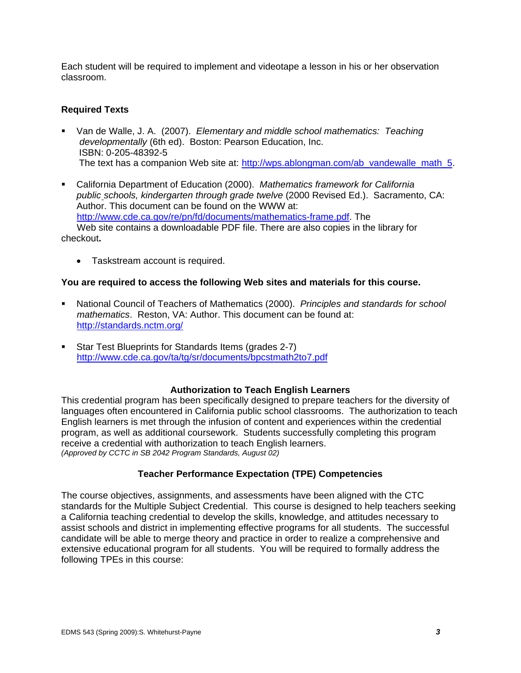Each student will be required to implement and videotape a lesson in his or her observation classroom.

## **Required Texts**

- Van de Walle, J. A. (2007). *Elementary and middle school mathematics: Teaching developmentally* (6th ed). Boston: Pearson Education, Inc. ISBN: 0-205-48392-5 The text has a companion Web site at: http://wps.ablongman.com/ab\_vandewalle\_math\_5.
- California Department of Education (2000). *Mathematics framework for California public schools, kindergarten through grade twelve* (2000 Revised Ed.). Sacramento, CA: Author. This document can be found on the WWW at: http://www.cde.ca.gov/re/pn/fd/documents/mathematics-frame.pdf. The Web site contains a downloadable PDF file. There are also copies in the library for

checkout**.** 

• Taskstream account is required.

#### **You are required to access the following Web sites and materials for this course.**

- National Council of Teachers of Mathematics (2000). *Principles and standards for school mathematics*. Reston, VA: Author. This document can be found at: http://standards.nctm.org/
- Star Test Blueprints for Standards Items (grades 2-7) http://www.cde.ca.gov/ta/tg/sr/documents/bpcstmath2to7.pdf

#### **Authorization to Teach English Learners**

This credential program has been specifically designed to prepare teachers for the diversity of languages often encountered in California public school classrooms. The authorization to teach English learners is met through the infusion of content and experiences within the credential program, as well as additional coursework. Students successfully completing this program receive a credential with authorization to teach English learners. *(Approved by CCTC in SB 2042 Program Standards, August 02)* 

## **Teacher Performance Expectation (TPE) Competencies**

The course objectives, assignments, and assessments have been aligned with the CTC standards for the Multiple Subject Credential. This course is designed to help teachers seeking a California teaching credential to develop the skills, knowledge, and attitudes necessary to assist schools and district in implementing effective programs for all students. The successful candidate will be able to merge theory and practice in order to realize a comprehensive and extensive educational program for all students. You will be required to formally address the following TPEs in this course: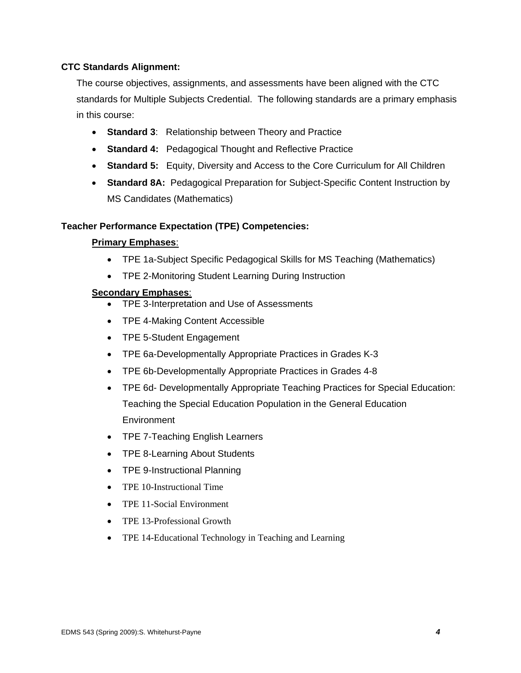## **CTC Standards Alignment:**

The course objectives, assignments, and assessments have been aligned with the CTC standards for Multiple Subjects Credential. The following standards are a primary emphasis in this course:

- • **Standard 3**: Relationship between Theory and Practice
- • **Standard 4:** Pedagogical Thought and Reflective Practice
- **Standard 5:** Equity, Diversity and Access to the Core Curriculum for All Children
- • **Standard 8A:** Pedagogical Preparation for Subject-Specific Content Instruction by MS Candidates (Mathematics)

#### **Teacher Performance Expectation (TPE) Competencies:**

#### **Primary Emphases**:

- TPE 1a-Subject Specific Pedagogical Skills for MS Teaching (Mathematics)
- TPE 2-Monitoring Student Learning During Instruction

#### **Secondary Emphases**:

- • TPE 3-Interpretation and Use of Assessments
- TPE 4-Making Content Accessible
- TPE 5-Student Engagement
- TPE 6a-Developmentally Appropriate Practices in Grades K-3
- TPE 6b-Developmentally Appropriate Practices in Grades 4-8
- TPE 6d- Developmentally Appropriate Teaching Practices for Special Education: Teaching the Special Education Population in the General Education **Environment**
- TPE 7-Teaching English Learners
- TPE 8-Learning About Students
- TPE 9-Instructional Planning
- TPE 10-Instructional Time
- TPE 11-Social Environment
- TPE 13-Professional Growth
- TPE 14-Educational Technology in Teaching and Learning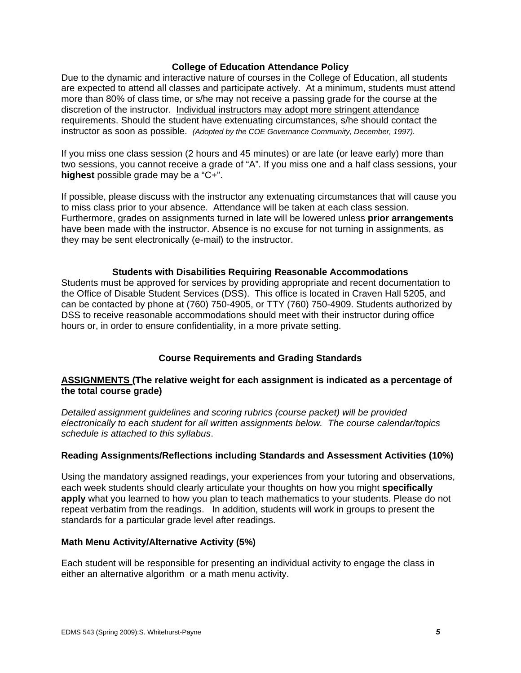#### **College of Education Attendance Policy**

 instructor as soon as possible. *(Adopted by the COE Governance Community, December, 1997).* Due to the dynamic and interactive nature of courses in the College of Education, all students are expected to attend all classes and participate actively. At a minimum, students must attend more than 80% of class time, or s/he may not receive a passing grade for the course at the discretion of the instructor. Individual instructors may adopt more stringent attendance requirements. Should the student have extenuating circumstances, s/he should contact the

If you miss one class session (2 hours and 45 minutes) or are late (or leave early) more than two sessions, you cannot receive a grade of "A". If you miss one and a half class sessions, your **highest** possible grade may be a "C+".

If possible, please discuss with the instructor any extenuating circumstances that will cause you to miss class prior to your absence. Attendance will be taken at each class session. Furthermore, grades on assignments turned in late will be lowered unless **prior arrangements**  have been made with the instructor. Absence is no excuse for not turning in assignments, as they may be sent electronically (e-mail) to the instructor.

#### **Students with Disabilities Requiring Reasonable Accommodations**

Students must be approved for services by providing appropriate and recent documentation to the Office of Disable Student Services (DSS). This office is located in Craven Hall 5205, and can be contacted by phone at (760) 750-4905, or TTY (760) 750-4909. Students authorized by DSS to receive reasonable accommodations should meet with their instructor during office hours or, in order to ensure confidentiality, in a more private setting.

## **Course Requirements and Grading Standards**

## **ASSIGNMENTS (The relative weight for each assignment is indicated as a percentage of the total course grade)**

*Detailed assignment guidelines and scoring rubrics (course packet) will be provided electronically to each student for all written assignments below. The course calendar/topics schedule is attached to this syllabus*.

## **Reading Assignments/Reflections including Standards and Assessment Activities (10%)**

Using the mandatory assigned readings, your experiences from your tutoring and observations, each week students should clearly articulate your thoughts on how you might **specifically apply** what you learned to how you plan to teach mathematics to your students. Please do not repeat verbatim from the readings. In addition, students will work in groups to present the standards for a particular grade level after readings.

#### **Math Menu Activity/Alternative Activity (5%)**

Each student will be responsible for presenting an individual activity to engage the class in either an alternative algorithm or a math menu activity.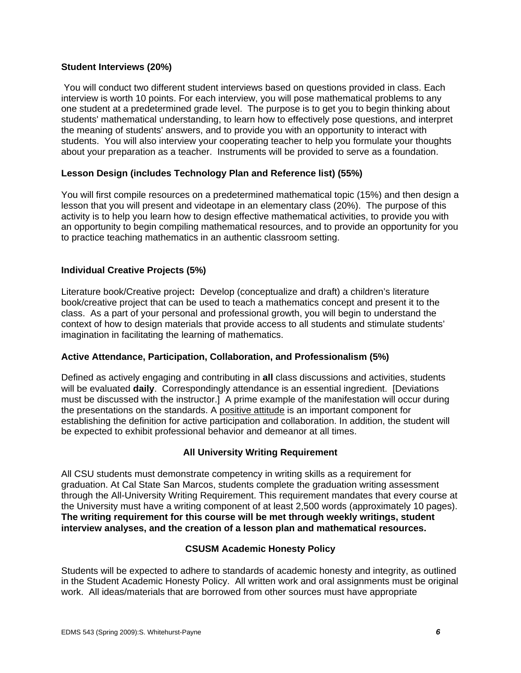#### **Student Interviews (20%)**

You will conduct two different student interviews based on questions provided in class. Each interview is worth 10 points. For each interview, you will pose mathematical problems to any one student at a predetermined grade level. The purpose is to get you to begin thinking about students' mathematical understanding, to learn how to effectively pose questions, and interpret the meaning of students' answers, and to provide you with an opportunity to interact with students. You will also interview your cooperating teacher to help you formulate your thoughts about your preparation as a teacher. Instruments will be provided to serve as a foundation.

## **Lesson Design (includes Technology Plan and Reference list) (55%)**

You will first compile resources on a predetermined mathematical topic (15%) and then design a lesson that you will present and videotape in an elementary class (20%). The purpose of this activity is to help you learn how to design effective mathematical activities, to provide you with an opportunity to begin compiling mathematical resources, and to provide an opportunity for you to practice teaching mathematics in an authentic classroom setting.

#### **Individual Creative Projects (5%)**

Literature book/Creative project**:** Develop (conceptualize and draft) a children's literature book/creative project that can be used to teach a mathematics concept and present it to the class. As a part of your personal and professional growth, you will begin to understand the context of how to design materials that provide access to all students and stimulate students' imagination in facilitating the learning of mathematics.

#### **Active Attendance, Participation, Collaboration, and Professionalism (5%)**

Defined as actively engaging and contributing in **all** class discussions and activities, students will be evaluated **daily**. Correspondingly attendance is an essential ingredient. [Deviations must be discussed with the instructor.] A prime example of the manifestation will occur during the presentations on the standards. A positive attitude is an important component for establishing the definition for active participation and collaboration. In addition, the student will be expected to exhibit professional behavior and demeanor at all times.

## **All University Writing Requirement**

All CSU students must demonstrate competency in writing skills as a requirement for graduation. At Cal State San Marcos, students complete the graduation writing assessment through the All-University Writing Requirement. This requirement mandates that every course at the University must have a writing component of at least 2,500 words (approximately 10 pages). **The writing requirement for this course will be met through weekly writings, student interview analyses, and the creation of a lesson plan and mathematical resources.** 

#### **CSUSM Academic Honesty Policy**

Students will be expected to adhere to standards of academic honesty and integrity, as outlined in the Student Academic Honesty Policy. All written work and oral assignments must be original work. All ideas/materials that are borrowed from other sources must have appropriate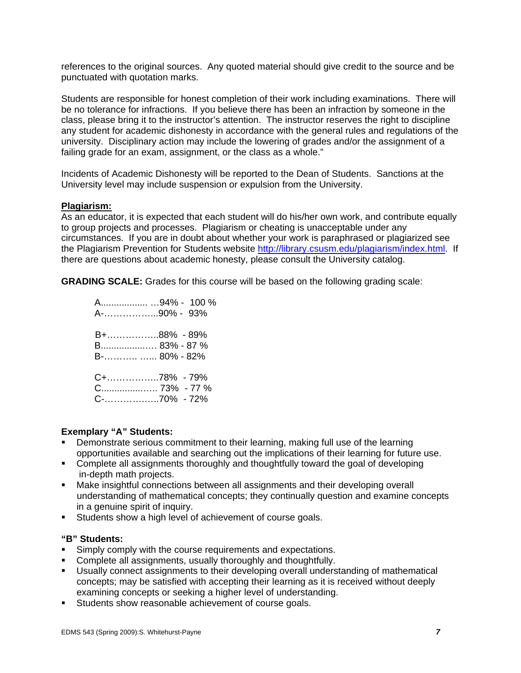references to the original sources. Any quoted material should give credit to the source and be punctuated with quotation marks.

Students are responsible for honest completion of their work including examinations. There will be no tolerance for infractions. If you believe there has been an infraction by someone in the class, please bring it to the instructor's attention. The instructor reserves the right to discipline any student for academic dishonesty in accordance with the general rules and regulations of the university. Disciplinary action may include the lowering of grades and/or the assignment of a failing grade for an exam, assignment, or the class as a whole."

Incidents of Academic Dishonesty will be reported to the Dean of Students. Sanctions at the University level may include suspension or expulsion from the University.

#### **Plagiarism:**

As an educator, it is expected that each student will do his/her own work, and contribute equally to group projects and processes. Plagiarism or cheating is unacceptable under any circumstances. If you are in doubt about whether your work is paraphrased or plagiarized see the Plagiarism Prevention for Students website http://library.csusm.edu/plagiarism/index.html. If there are questions about academic honesty, please consult the University catalog.

**GRADING SCALE:** Grades for this course will be based on the following grading scale:

| A94% - 100 %  |  |
|---------------|--|
| A-90% - 93%   |  |
| B+88% - 89%   |  |
| B 83% - 87 %  |  |
| B-  80% - 82% |  |
| C+78% - 79%   |  |
|               |  |
| C-70% - 72%   |  |

#### **Exemplary "A" Students:**

- Demonstrate serious commitment to their learning, making full use of the learning opportunities available and searching out the implications of their learning for future use.
- Complete all assignments thoroughly and thoughtfully toward the goal of developing in-depth math projects.
- Make insightful connections between all assignments and their developing overall understanding of mathematical concepts; they continually question and examine concepts in a genuine spirit of inquiry.
- **Students show a high level of achievement of course goals.**

#### **"B" Students:**

- **Simply comply with the course requirements and expectations.**
- Complete all assignments, usually thoroughly and thoughtfully.
- Usually connect assignments to their developing overall understanding of mathematical concepts; may be satisfied with accepting their learning as it is received without deeply examining concepts or seeking a higher level of understanding.
- Students show reasonable achievement of course goals.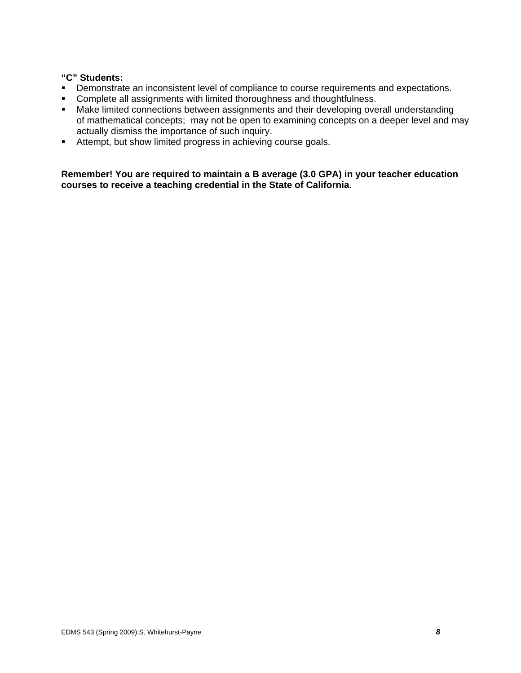#### **"C" Students:**

- **•** Demonstrate an inconsistent level of compliance to course requirements and expectations.
- **Complete all assignments with limited thoroughness and thoughtfulness.**
- Make limited connections between assignments and their developing overall understanding of mathematical concepts; may not be open to examining concepts on a deeper level and may actually dismiss the importance of such inquiry.
- Attempt, but show limited progress in achieving course goals.

**Remember! You are required to maintain a B average (3.0 GPA) in your teacher education courses to receive a teaching credential in the State of California.**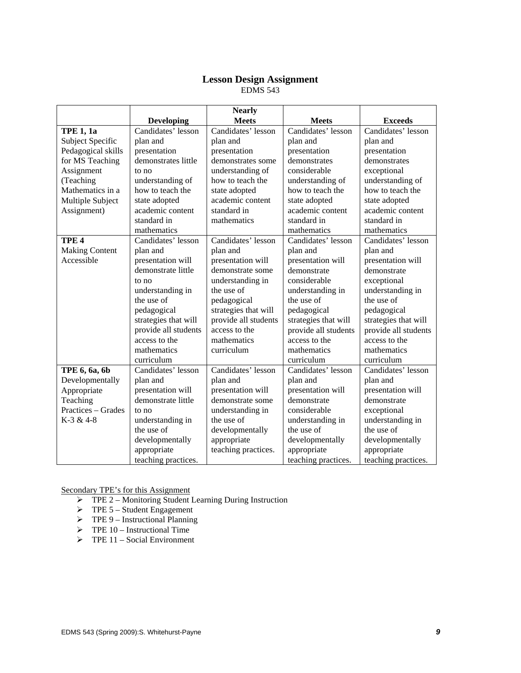#### **Lesson Design Assignment**  EDMS 543

|                       |                      | <b>Nearly</b>        |                      |                      |
|-----------------------|----------------------|----------------------|----------------------|----------------------|
|                       | <b>Developing</b>    | <b>Meets</b>         | <b>Meets</b>         | <b>Exceeds</b>       |
| <b>TPE 1, 1a</b>      | Candidates' lesson   | Candidates' lesson   | Candidates' lesson   | Candidates' lesson   |
| Subject Specific      | plan and             | plan and             | plan and             | plan and             |
| Pedagogical skills    | presentation         | presentation         | presentation         | presentation         |
| for MS Teaching       | demonstrates little  | demonstrates some    | demonstrates         | demonstrates         |
| Assignment            | to no                | understanding of     | considerable         | exceptional          |
| (Teaching             | understanding of     | how to teach the     | understanding of     | understanding of     |
| Mathematics in a      | how to teach the     | state adopted        | how to teach the     | how to teach the     |
| Multiple Subject      | state adopted        | academic content     | state adopted        | state adopted        |
| Assignment)           | academic content     | standard in          | academic content     | academic content     |
|                       | standard in          | mathematics          | standard in          | standard in          |
|                       | mathematics          |                      | mathematics          | mathematics          |
| TPE <sub>4</sub>      | Candidates' lesson   | Candidates' lesson   | Candidates' lesson   | Candidates' lesson   |
| <b>Making Content</b> | plan and             | plan and             | plan and             | plan and             |
| Accessible            | presentation will    | presentation will    | presentation will    | presentation will    |
|                       | demonstrate little   | demonstrate some     | demonstrate          | demonstrate          |
|                       | to no                | understanding in     | considerable         | exceptional          |
|                       | understanding in     | the use of           | understanding in     | understanding in     |
|                       | the use of           | pedagogical          | the use of           | the use of           |
|                       | pedagogical          | strategies that will | pedagogical          | pedagogical          |
|                       | strategies that will | provide all students | strategies that will | strategies that will |
|                       | provide all students | access to the        | provide all students | provide all students |
|                       | access to the        | mathematics          | access to the        | access to the        |
|                       | mathematics          | curriculum           | mathematics          | mathematics          |
|                       | curriculum           |                      | curriculum           | curriculum           |
| TPE 6, 6a, 6b         | Candidates' lesson   | Candidates' lesson   | Candidates' lesson   | Candidates' lesson   |
| Developmentally       | plan and             | plan and             | plan and             | plan and             |
| Appropriate           | presentation will    | presentation will    | presentation will    | presentation will    |
| Teaching              | demonstrate little   | demonstrate some     | demonstrate          | demonstrate          |
| Practices - Grades    | to no                | understanding in     | considerable         | exceptional          |
| K-3 & 4-8             | understanding in     | the use of           | understanding in     | understanding in     |
|                       | the use of           | developmentally      | the use of           | the use of           |
|                       | developmentally      | appropriate          | developmentally      | developmentally      |
|                       | appropriate          | teaching practices.  | appropriate          | appropriate          |
|                       | teaching practices.  |                      | teaching practices.  | teaching practices.  |

Secondary TPE's for this Assignment

- ¾ TPE 2 Monitoring Student Learning During Instruction
- $\triangleright$  TPE 5 Student Engagement
- $\triangleright$  TPE 9 Instructional Planning
- $\triangleright$  TPE 10 Instructional Time
- $\triangleright$  TPE 11 Social Environment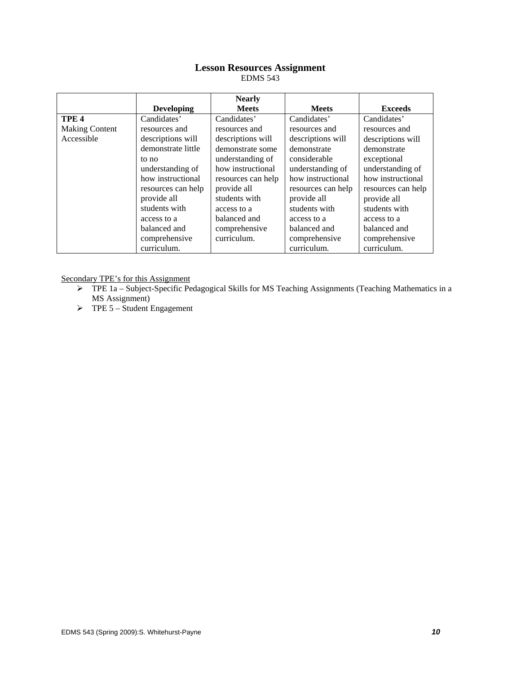## **Lesson Resources Assignment**

EDMS 543

|                       |                    | <b>Nearly</b>      |                    |                    |
|-----------------------|--------------------|--------------------|--------------------|--------------------|
|                       | <b>Developing</b>  | <b>Meets</b>       | <b>Meets</b>       | <b>Exceeds</b>     |
| TPE <sub>4</sub>      | Candidates'        | Candidates'        | Candidates'        | Candidates'        |
| <b>Making Content</b> | resources and      | resources and      | resources and      | resources and      |
| Accessible            | descriptions will  | descriptions will  | descriptions will  | descriptions will  |
|                       | demonstrate little | demonstrate some   | demonstrate        | demonstrate        |
|                       | to no              | understanding of   | considerable       | exceptional        |
|                       | understanding of   | how instructional  | understanding of   | understanding of   |
|                       | how instructional  | resources can help | how instructional  | how instructional  |
|                       | resources can help | provide all        | resources can help | resources can help |
|                       | provide all        | students with      | provide all        | provide all        |
|                       | students with      | access to a        | students with      | students with      |
|                       | access to a        | balanced and       | access to a        | access to a        |
|                       | balanced and       | comprehensive      | balanced and       | balanced and       |
|                       | comprehensive      | curriculum.        | comprehensive      | comprehensive      |
|                       | curriculum.        |                    | curriculum.        | curriculum.        |

Secondary TPE's for this Assignment

- ¾ TPE 1a Subject-Specific Pedagogical Skills for MS Teaching Assignments (Teaching Mathematics in a MS Assignment)
- $\triangleright$  TPE 5 Student Engagement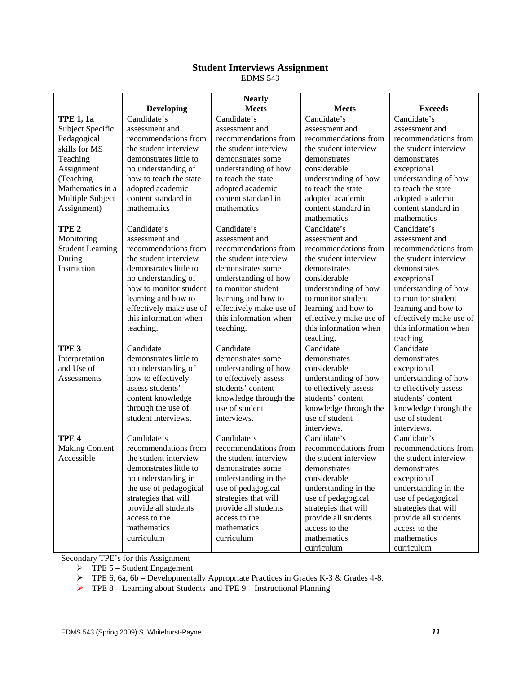# **Student Interviews Assignment**

EDMS 543

|                         |                         | <b>Nearly</b>           |                         |                         |
|-------------------------|-------------------------|-------------------------|-------------------------|-------------------------|
|                         | <b>Developing</b>       | <b>Meets</b>            | <b>Meets</b>            | <b>Exceeds</b>          |
| <b>TPE 1, 1a</b>        | Candidate's             | Candidate's             | Candidate's             | Candidate's             |
| Subject Specific        | assessment and          | assessment and          | assessment and          | assessment and          |
| Pedagogical             | recommendations from    | recommendations from    | recommendations from    | recommendations from    |
| skills for MS           | the student interview   | the student interview   | the student interview   | the student interview   |
| Teaching                | demonstrates little to  | demonstrates some       | demonstrates            | demonstrates            |
| Assignment              | no understanding of     | understanding of how    | considerable            | exceptional             |
| (Teaching               | how to teach the state  | to teach the state      | understanding of how    | understanding of how    |
| Mathematics in a        | adopted academic        | adopted academic        | to teach the state      | to teach the state      |
| Multiple Subject        | content standard in     | content standard in     | adopted academic        | adopted academic        |
| Assignment)             | mathematics             | mathematics             | content standard in     | content standard in     |
|                         |                         |                         | mathematics             | mathematics             |
| TPE <sub>2</sub>        | Candidate's             | Candidate's             | Candidate's             | Candidate's             |
| Monitoring              | assessment and          | assessment and          | assessment and          | assessment and          |
| <b>Student Learning</b> | recommendations from    | recommendations from    | recommendations from    | recommendations from    |
| During                  | the student interview   | the student interview   | the student interview   | the student interview   |
| Instruction             | demonstrates little to  | demonstrates some       | demonstrates            | demonstrates            |
|                         | no understanding of     | understanding of how    | considerable            | exceptional             |
|                         | how to monitor student  | to monitor student      | understanding of how    | understanding of how    |
|                         | learning and how to     | learning and how to     | to monitor student      | to monitor student      |
|                         | effectively make use of | effectively make use of | learning and how to     | learning and how to     |
|                         | this information when   | this information when   | effectively make use of | effectively make use of |
|                         | teaching.               | teaching.               | this information when   | this information when   |
|                         |                         |                         | teaching.               | teaching.               |
| TPE <sub>3</sub>        | Candidate               | Candidate               | Candidate               | Candidate               |
| Interpretation          | demonstrates little to  | demonstrates some       | demonstrates            | demonstrates            |
| and Use of              | no understanding of     | understanding of how    | considerable            | exceptional             |
| Assessments             | how to effectively      | to effectively assess   | understanding of how    | understanding of how    |
|                         | assess students'        | students' content       | to effectively assess   | to effectively assess   |
|                         | content knowledge       | knowledge through the   | students' content       | students' content       |
|                         | through the use of      | use of student          | knowledge through the   | knowledge through the   |
|                         | student interviews.     | interviews.             | use of student          | use of student          |
|                         |                         |                         | interviews.             | interviews.             |
| TPE <sub>4</sub>        | Candidate's             | Candidate's             | Candidate's             | Candidate's             |
| <b>Making Content</b>   | recommendations from    | recommendations from    | recommendations from    | recommendations from    |
| Accessible              | the student interview   | the student interview   | the student interview   | the student interview   |
|                         | demonstrates little to  | demonstrates some       | demonstrates            | demonstrates            |
|                         | no understanding in     | understanding in the    | considerable            | exceptional             |
|                         | the use of pedagogical  | use of pedagogical      | understanding in the    | understanding in the    |
|                         | strategies that will    | strategies that will    | use of pedagogical      | use of pedagogical      |
|                         | provide all students    | provide all students    | strategies that will    | strategies that will    |
|                         | access to the           | access to the           | provide all students    | provide all students    |
|                         | mathematics             | mathematics             | access to the           | access to the           |
|                         | curriculum              | curriculum              | mathematics             | mathematics             |
|                         |                         |                         | curriculum              | curriculum              |

Secondary TPE's for this Assignment

 $\triangleright$  TPE 5 – Student Engagement

- ¾ TPE 6, 6a, 6b Developmentally Appropriate Practices in Grades K-3 & Grades 4-8.
- ¾ TPE 8 Learning about Students and TPE 9 Instructional Planning